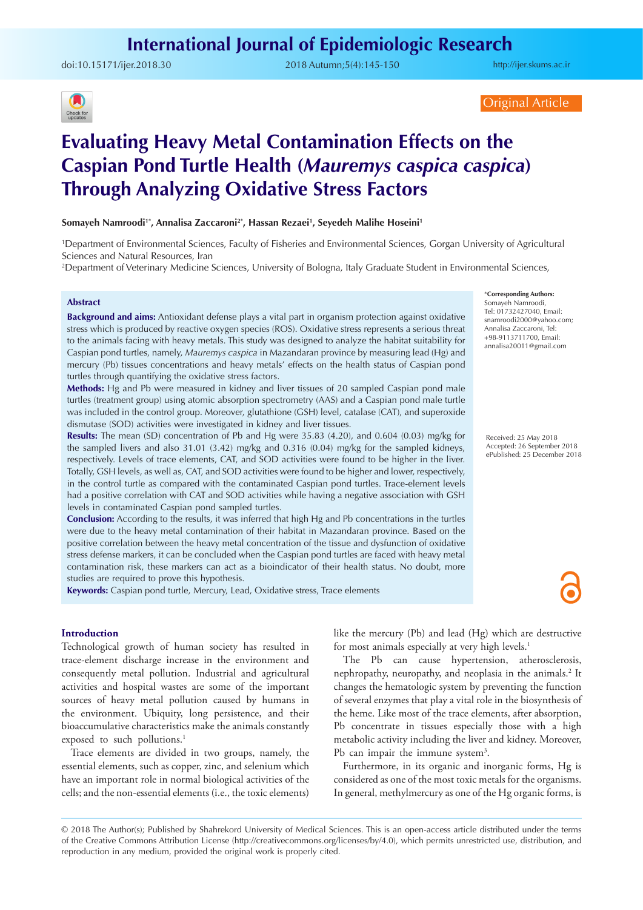doi:[10.15171/ijer.2018.30](https://doi.org/10.15171/ijer.2018.30) 2018 Autumn;5(4):145-150

<http://ijer.skums.ac.ir>



Original Article

# **Evaluating Heavy Metal Contamination Effects on the Caspian Pond Turtle Health (***Mauremys caspica caspica***) Through Analyzing Oxidative Stress Factors**

**Somayeh Namroodi1\*, Annalisa Zaccaroni2\*, Hassan Rezaei1 , Seyedeh Malihe Hoseini1**

1 Department of Environmental Sciences, Faculty of Fisheries and Environmental Sciences, Gorgan University of Agricultural Sciences and Natural Resources, Iran

2 Department of Veterinary Medicine Sciences, University of Bologna, Italy Graduate Student in Environmental Sciences,

## **Abstract**

**Background and aims:** Antioxidant defense plays a vital part in organism protection against oxidative stress which is produced by reactive oxygen species (ROS). Oxidative stress represents a serious threat to the animals facing with heavy metals. This study was designed to analyze the habitat suitability for Caspian pond turtles, namely, *Mauremys caspica* in Mazandaran province by measuring lead (Hg) and mercury (Pb) tissues concentrations and heavy metals' effects on the health status of Caspian pond turtles through quantifying the oxidative stress factors.

**Methods:** Hg and Pb were measured in kidney and liver tissues of 20 sampled Caspian pond male turtles (treatment group) using atomic absorption spectrometry (AAS) and a Caspian pond male turtle was included in the control group. Moreover, glutathione (GSH) level, catalase (CAT), and superoxide dismutase (SOD) activities were investigated in kidney and liver tissues.

**Results:** The mean (SD) concentration of Pb and Hg were 35.83 (4.20), and 0.604 (0.03) mg/kg for the sampled livers and also 31.01 (3.42) mg/kg and 0.316 (0.04) mg/kg for the sampled kidneys, respectively. Levels of trace elements, CAT, and SOD activities were found to be higher in the liver. Totally, GSH levels, as well as, CAT, and SOD activities were found to be higher and lower, respectively, in the control turtle as compared with the contaminated Caspian pond turtles. Trace-element levels had a positive correlation with CAT and SOD activities while having a negative association with GSH levels in contaminated Caspian pond sampled turtles.

**Conclusion:** According to the results, it was inferred that high Hg and Pb concentrations in the turtles were due to the heavy metal contamination of their habitat in Mazandaran province. Based on the positive correlation between the heavy metal concentration of the tissue and dysfunction of oxidative stress defense markers, it can be concluded when the Caspian pond turtles are faced with heavy metal contamination risk, these markers can act as a bioindicator of their health status. No doubt, more studies are required to prove this hypothesis.

**Keywords:** Caspian pond turtle, Mercury, Lead, Oxidative stress, Trace elements

#### **Introduction**

Technological growth of human society has resulted in trace-element discharge increase in the environment and consequently metal pollution. Industrial and agricultural activities and hospital wastes are some of the important sources of heavy metal pollution caused by humans in the environment. Ubiquity, long persistence, and their bioaccumulative characteristics make the animals constantly exposed to such pollutions.<sup>1</sup>

Trace elements are divided in two groups, namely, the essential elements, such as copper, zinc, and selenium which have an important role in normal biological activities of the cells; and the non-essential elements (i.e., the toxic elements) like the mercury (Pb) and lead (Hg) which are destructive for most animals especially at very high levels.<sup>1</sup>

The Pb can cause hypertension, atherosclerosis, nephropathy, neuropathy, and neoplasia in the animals.<sup>2</sup> It changes the hematologic system by preventing the function of several enzymes that play a vital role in the biosynthesis of the heme. Like most of the trace elements, after absorption, Pb concentrate in tissues especially those with a high metabolic activity including the liver and kidney. Moreover, Pb can impair the immune system<sup>3</sup>.

Furthermore, in its organic and inorganic forms, Hg is considered as one of the most toxic metals for the organisms. In general, methylmercury as one of the Hg organic forms, is

\***Corresponding Authors:** Somayeh Namroodi, Tel: 01732427040, Email: snamroodi2000@yahoo.com; Annalisa Zaccaroni, Tel: +98-9113711700, Email: annalisa20011@gmail.com

Received: 25 May 2018 Accepted: 26 September 2018 ePublished: 25 December 2018

<sup>© 2018</sup> The Author(s); Published by Shahrekord University of Medical Sciences. This is an open-access article distributed under the terms of the Creative Commons Attribution License (http://creativecommons.org/licenses/by/4.0), which permits unrestricted use, distribution, and reproduction in any medium, provided the original work is properly cited.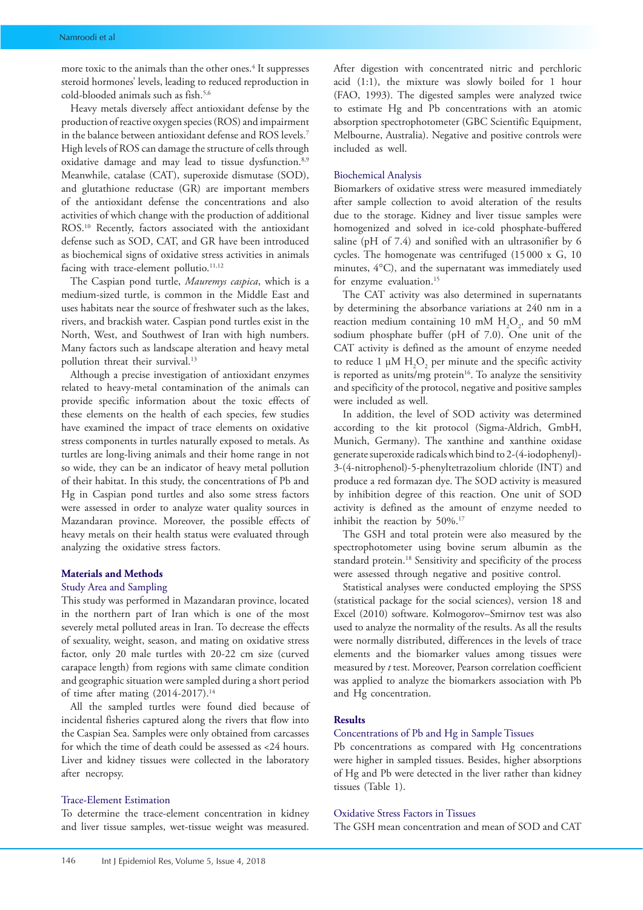more toxic to the animals than the other ones.<sup>4</sup> It suppresses steroid hormones' levels, leading to reduced reproduction in cold-blooded animals such as fish.5,6

Heavy metals diversely affect antioxidant defense by the production of reactive oxygen species (ROS) and impairment in the balance between antioxidant defense and ROS levels.7 High levels of ROS can damage the structure of cells through oxidative damage and may lead to tissue dysfunction.<sup>8,9</sup> Meanwhile, catalase (CAT), superoxide dismutase (SOD), and glutathione reductase (GR) are important members of the antioxidant defense the concentrations and also activities of which change with the production of additional ROS.10 Recently, factors associated with the antioxidant defense such as SOD, CAT, and GR have been introduced as biochemical signs of oxidative stress activities in animals facing with trace-element pollutio.<sup>11,12</sup>

The Caspian pond turtle, *Mauremys caspica*, which is a medium-sized turtle, is common in the Middle East and uses habitats near the source of freshwater such as the lakes, rivers, and brackish water. Caspian pond turtles exist in the North, West, and Southwest of Iran with high numbers. Many factors such as landscape alteration and heavy metal pollution threat their survival.<sup>13</sup>

Although a precise investigation of antioxidant enzymes related to heavy-metal contamination of the animals can provide specific information about the toxic effects of these elements on the health of each species, few studies have examined the impact of trace elements on oxidative stress components in turtles naturally exposed to metals. As turtles are long-living animals and their home range in not so wide, they can be an indicator of heavy metal pollution of their habitat. In this study, the concentrations of Pb and Hg in Caspian pond turtles and also some stress factors were assessed in order to analyze water quality sources in Mazandaran province. Moreover, the possible effects of heavy metals on their health status were evaluated through analyzing the oxidative stress factors.

#### **Materials and Methods**

#### Study Area and Sampling

This study was performed in Mazandaran province, located in the northern part of Iran which is one of the most severely metal polluted areas in Iran. To decrease the effects of sexuality, weight, season, and mating on oxidative stress factor, only 20 male turtles with 20-22 cm size (curved carapace length) from regions with same climate condition and geographic situation were sampled during a short period of time after mating (2014-2017).14

All the sampled turtles were found died because of incidental fisheries captured along the rivers that flow into the Caspian Sea. Samples were only obtained from carcasses for which the time of death could be assessed as <24 hours. Liver and kidney tissues were collected in the laboratory after necropsy.

#### Trace-Element Estimation

To determine the trace-element concentration in kidney and liver tissue samples, wet-tissue weight was measured.

After digestion with concentrated nitric and perchloric acid (1:1), the mixture was slowly boiled for 1 hour (FAO, 1993). The digested samples were analyzed twice to estimate Hg and Pb concentrations with an atomic absorption spectrophotometer (GBC Scientific Equipment, Melbourne, Australia). Negative and positive controls were included as well.

#### Biochemical Analysis

Biomarkers of oxidative stress were measured immediately after sample collection to avoid alteration of the results due to the storage. Kidney and liver tissue samples were homogenized and solved in ice-cold phosphate-buffered saline (pH of 7.4) and sonified with an ultrasonifier by 6 cycles. The homogenate was centrifuged (15 000 x G, 10 minutes, 4°C), and the supernatant was immediately used for enzyme evaluation.<sup>15</sup>

The CAT activity was also determined in supernatants by determining the absorbance variations at 240 nm in a reaction medium containing 10 mM  $H_2O_2$ , and 50 mM sodium phosphate buffer (pH of 7.0). One unit of the CAT activity is defined as the amount of enzyme needed to reduce 1 μM  $H_2O_2$  per minute and the specific activity is reported as units/mg protein $16$ . To analyze the sensitivity and specificity of the protocol, negative and positive samples were included as well.

In addition, the level of SOD activity was determined according to the kit protocol (Sigma-Aldrich, GmbH, Munich, Germany). The xanthine and xanthine oxidase generate superoxide radicals which bind to 2-(4-iodophenyl)- 3-(4-nitrophenol)-5-phenyltetrazolium chloride (INT) and produce a red formazan dye. The SOD activity is measured by inhibition degree of this reaction. One unit of SOD activity is defined as the amount of enzyme needed to inhibit the reaction by 50%.<sup>17</sup>

The GSH and total protein were also measured by the spectrophotometer using bovine serum albumin as the standard protein.<sup>18</sup> Sensitivity and specificity of the process were assessed through negative and positive control.

Statistical analyses were conducted employing the SPSS (statistical package for the social sciences), version 18 and Excel (2010) software. Kolmogorov–Smirnov test was also used to analyze the normality of the results. As all the results were normally distributed, differences in the levels of trace elements and the biomarker values among tissues were measured by *t* test. Moreover, Pearson correlation coefficient was applied to analyze the biomarkers association with Pb and Hg concentration.

## **Results**

#### Concentrations of Pb and Hg in Sample Tissues

Pb concentrations as compared with Hg concentrations were higher in sampled tissues. Besides, higher absorptions of Hg and Pb were detected in the liver rather than kidney tissues (Table 1).

#### Oxidative Stress Factors in Tissues

The GSH mean concentration and mean of SOD and CAT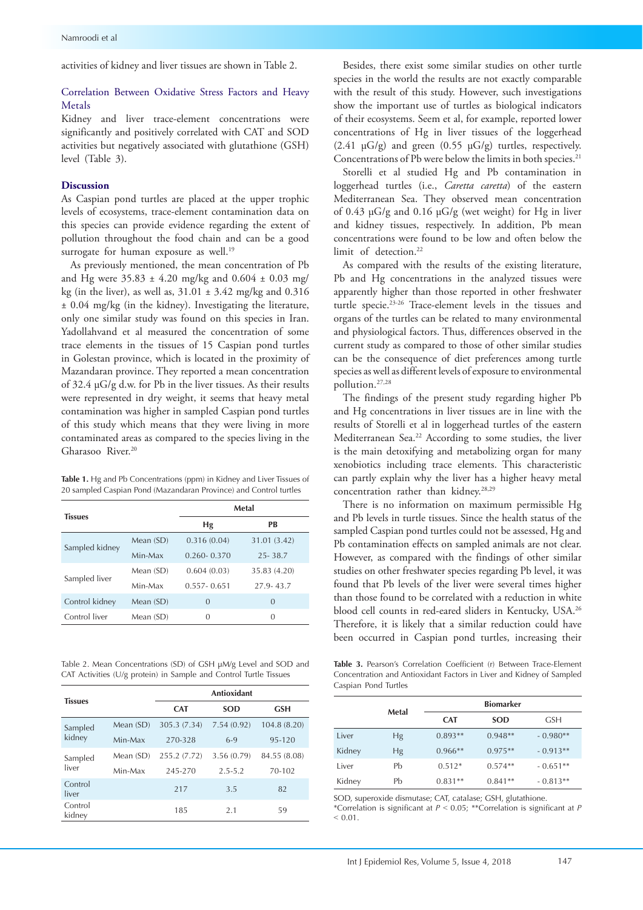activities of kidney and liver tissues are shown in Table 2.

## Correlation Between Oxidative Stress Factors and Heavy Metals

Kidney and liver trace-element concentrations were significantly and positively correlated with CAT and SOD activities but negatively associated with glutathione (GSH) level (Table 3).

#### **Discussion**

As Caspian pond turtles are placed at the upper trophic levels of ecosystems, trace-element contamination data on this species can provide evidence regarding the extent of pollution throughout the food chain and can be a good surrogate for human exposure as well.<sup>19</sup>

As previously mentioned, the mean concentration of Pb and Hg were  $35.83 \pm 4.20$  mg/kg and  $0.604 \pm 0.03$  mg/ kg (in the liver), as well as, 31.01 ± 3.42 mg/kg and 0.316 ± 0.04 mg/kg (in the kidney). Investigating the literature, only one similar study was found on this species in Iran. Yadollahvand et al measured the concentration of some trace elements in the tissues of 15 Caspian pond turtles in Golestan province, which is located in the proximity of Mazandaran province. They reported a mean concentration of 32.4 μG/g d.w. for Pb in the liver tissues. As their results were represented in dry weight, it seems that heavy metal contamination was higher in sampled Caspian pond turtles of this study which means that they were living in more contaminated areas as compared to the species living in the Gharasoo River.<sup>20</sup>

**Table 1.** Hg and Pb Concentrations (ppm) in Kidney and Liver Tissues of 20 sampled Caspian Pond (Mazandaran Province) and Control turtles

| <b>Tissues</b> |             | Metal           |                |  |
|----------------|-------------|-----------------|----------------|--|
|                |             | Hg              | РB             |  |
| Sampled kidney | Mean $(SD)$ | 0.316(0.04)     | 31.01 (3.42)   |  |
|                | Min-Max     | $0.260 - 0.370$ | $25 - 38.7$    |  |
|                | Mean (SD)   | 0.604(0.03)     | 35.83 (4.20)   |  |
| Sampled liver  | Min-Max     | $0.557 - 0.651$ | 27.9-43.7      |  |
| Control kidney | Mean $(SD)$ | $\theta$        | $\overline{0}$ |  |
| Control liver  | Mean (SD)   | $\Omega$        | $\Omega$       |  |

Table 2. Mean Concentrations (SD) of GSH μM/g Level and SOD and CAT Activities (U/g protein) in Sample and Control Turtle Tissues

| <b>Tissues</b>    |           | <b>Antioxidant</b> |             |              |  |
|-------------------|-----------|--------------------|-------------|--------------|--|
|                   |           | <b>CAT</b>         | <b>SOD</b>  | GSH          |  |
| Sampled<br>kidney | Mean (SD) | 305.3 (7.34)       | 7.54(0.92)  | 104.8 (8.20) |  |
|                   | Min-Max   | 270-328            | $6-9$       | 95-120       |  |
| Sampled<br>liver  | Mean (SD) | 255.2 (7.72)       | 3.56(0.79)  | 84.55 (8.08) |  |
|                   | Min-Max   | 245-270            | $2.5 - 5.2$ | 70-102       |  |
| Control<br>liver  |           | 217                | 3.5         | 82           |  |
| Control<br>kidnev |           | 185                | 2.1         | 59           |  |

Besides, there exist some similar studies on other turtle species in the world the results are not exactly comparable with the result of this study. However, such investigations show the important use of turtles as biological indicators of their ecosystems. Seem et al, for example, reported lower concentrations of Hg in liver tissues of the loggerhead  $(2.41 \text{ }\mu\text{G/g})$  and green  $(0.55 \text{ }\mu\text{G/g})$  turtles, respectively. Concentrations of Pb were below the limits in both species.<sup>21</sup>

Storelli et al studied Hg and Pb contamination in loggerhead turtles (i.e., *Caretta caretta*) of the eastern Mediterranean Sea. They observed mean concentration of 0.43 μG/g and 0.16 μG/g (wet weight) for Hg in liver and kidney tissues, respectively. In addition, Pb mean concentrations were found to be low and often below the limit of detection.<sup>22</sup>

As compared with the results of the existing literature, Pb and Hg concentrations in the analyzed tissues were apparently higher than those reported in other freshwater turtle specie.<sup>23-26</sup> Trace-element levels in the tissues and organs of the turtles can be related to many environmental and physiological factors. Thus, differences observed in the current study as compared to those of other similar studies can be the consequence of diet preferences among turtle species as well as different levels of exposure to environmental pollution.27,28

The findings of the present study regarding higher Pb and Hg concentrations in liver tissues are in line with the results of Storelli et al in loggerhead turtles of the eastern Mediterranean Sea.<sup>22</sup> According to some studies, the liver is the main detoxifying and metabolizing organ for many xenobiotics including trace elements. This characteristic can partly explain why the liver has a higher heavy metal concentration rather than kidney.28,29

There is no information on maximum permissible Hg and Pb levels in turtle tissues. Since the health status of the sampled Caspian pond turtles could not be assessed, Hg and Pb contamination effects on sampled animals are not clear. However, as compared with the findings of other similar studies on other freshwater species regarding Pb level, it was found that Pb levels of the liver were several times higher than those found to be correlated with a reduction in white blood cell counts in red-eared sliders in Kentucky, USA.26 Therefore, it is likely that a similar reduction could have been occurred in Caspian pond turtles, increasing their

**Table 3.** Pearson's Correlation Coefficient (r) Between Trace-Element Concentration and Antioxidant Factors in Liver and Kidney of Sampled Caspian Pond Turtles

|        |       | <b>Biomarker</b> |            |            |  |
|--------|-------|------------------|------------|------------|--|
|        | Metal | <b>CAT</b>       | <b>SOD</b> | <b>GSH</b> |  |
| Liver  | Hg    | $0.893**$        | $0.948**$  | $-0.980**$ |  |
| Kidney | Hg    | $0.966**$        | $0.975**$  | $-0.913**$ |  |
| Liver  | Ph    | $0.512*$         | $0.574**$  | $-0.651**$ |  |
| Kidney | Ph    | $0.831**$        | $0.841**$  | $-0.813**$ |  |

SOD, superoxide dismutase; CAT, catalase; GSH, glutathione.

\*Correlation is significant at *P* ˂ 0.05; \*\*Correlation is significant at *P*  $\leq 0.01$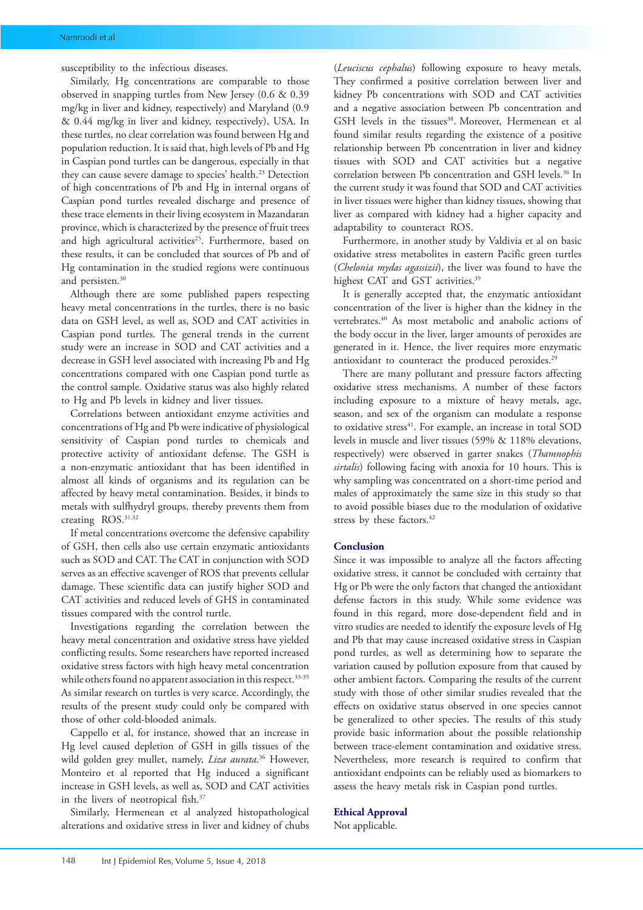susceptibility to the infectious diseases.

Similarly, Hg concentrations are comparable to those observed in snapping turtles from New Jersey (0.6 & 0.39 mg/kg in liver and kidney, respectively) and Maryland (0.9 & 0.44 mg/kg in liver and kidney, respectively), USA. In these turtles, no clear correlation was found between Hg and population reduction. It is said that, high levels of Pb and Hg in Caspian pond turtles can be dangerous, especially in that they can cause severe damage to species' health.<sup>23</sup> Detection of high concentrations of Pb and Hg in internal organs of Caspian pond turtles revealed discharge and presence of these trace elements in their living ecosystem in Mazandaran province, which is characterized by the presence of fruit trees and high agricultural activities<sup>25</sup>. Furthermore, based on these results, it can be concluded that sources of Pb and of Hg contamination in the studied regions were continuous and persisten.<sup>30</sup>

Although there are some published papers respecting heavy metal concentrations in the turtles, there is no basic data on GSH level, as well as, SOD and CAT activities in Caspian pond turtles. The general trends in the current study were an increase in SOD and CAT activities and a decrease in GSH level associated with increasing Pb and Hg concentrations compared with one Caspian pond turtle as the control sample. Oxidative status was also highly related to Hg and Pb levels in kidney and liver tissues.

Correlations between antioxidant enzyme activities and concentrations of Hg and Pb were indicative of physiological sensitivity of Caspian pond turtles to chemicals and protective activity of antioxidant defense. The GSH is a non-enzymatic antioxidant that has been identified in almost all kinds of organisms and its regulation can be affected by heavy metal contamination. Besides, it binds to metals with sulfhydryl groups, thereby prevents them from creating ROS.31,32

If metal concentrations overcome the defensive capability of GSH, then cells also use certain enzymatic antioxidants such as SOD and CAT. The CAT in conjunction with SOD serves as an effective scavenger of ROS that prevents cellular damage. These scientific data can justify higher SOD and CAT activities and reduced levels of GHS in contaminated tissues compared with the control turtle.

Investigations regarding the correlation between the heavy metal concentration and oxidative stress have yielded conflicting results. Some researchers have reported increased oxidative stress factors with high heavy metal concentration while others found no apparent association in this respect.<sup>33-35</sup> As similar research on turtles is very scarce. Accordingly, the results of the present study could only be compared with those of other cold-blooded animals.

Cappello et al, for instance, showed that an increase in Hg level caused depletion of GSH in gills tissues of the wild golden grey mullet, namely, *Liza aurata*. 36 However, Monteiro et al reported that Hg induced a significant increase in GSH levels, as well as, SOD and CAT activities in the livers of neotropical fish.37

Similarly, Hermenean et al analyzed histopathological alterations and oxidative stress in liver and kidney of chubs

(*Leuciscus cephalus*) following exposure to heavy metals. They confirmed a positive correlation between liver and kidney Pb concentrations with SOD and CAT activities and a negative association between Pb concentration and GSH levels in the tissues<sup>38</sup>. Moreover, Hermenean et al found similar results regarding the existence of a positive relationship between Pb concentration in liver and kidney tissues with SOD and CAT activities but a negative correlation between Pb concentration and GSH levels.<sup>36</sup> In the current study it was found that SOD and CAT activities in liver tissues were higher than kidney tissues, showing that liver as compared with kidney had a higher capacity and adaptability to counteract ROS.

Furthermore, in another study by Valdivia et al on basic oxidative stress metabolites in eastern Pacific green turtles (*Chelonia mydas agassizii*), the liver was found to have the highest CAT and GST activities.<sup>39</sup>

It is generally accepted that, the enzymatic antioxidant concentration of the liver is higher than the kidney in the vertebrates.<sup>40</sup> As most metabolic and anabolic actions of the body occur in the liver, larger amounts of peroxides are generated in it. Hence, the liver requires more enzymatic antioxidant to counteract the produced peroxides.<sup>29</sup>

There are many pollutant and pressure factors affecting oxidative stress mechanisms. A number of these factors including exposure to a mixture of heavy metals, age, season, and sex of the organism can modulate a response to oxidative stress<sup>41</sup>. For example, an increase in total SOD levels in muscle and liver tissues (59% & 118% elevations, respectively) were observed in garter snakes (*Thamnophis sirtalis*) following facing with anoxia for 10 hours. This is why sampling was concentrated on a short-time period and males of approximately the same size in this study so that to avoid possible biases due to the modulation of oxidative stress by these factors.<sup>42</sup>

## **Conclusion**

Since it was impossible to analyze all the factors affecting oxidative stress, it cannot be concluded with certainty that Hg or Pb were the only factors that changed the antioxidant defense factors in this study. While some evidence was found in this regard, more dose-dependent field and in vitro studies are needed to identify the exposure levels of Hg and Pb that may cause increased oxidative stress in Caspian pond turtles, as well as determining how to separate the variation caused by pollution exposure from that caused by other ambient factors. Comparing the results of the current study with those of other similar studies revealed that the effects on oxidative status observed in one species cannot be generalized to other species. The results of this study provide basic information about the possible relationship between trace-element contamination and oxidative stress. Nevertheless, more research is required to confirm that antioxidant endpoints can be reliably used as biomarkers to assess the heavy metals risk in Caspian pond turtles.

#### **Ethical Approval**

Not applicable.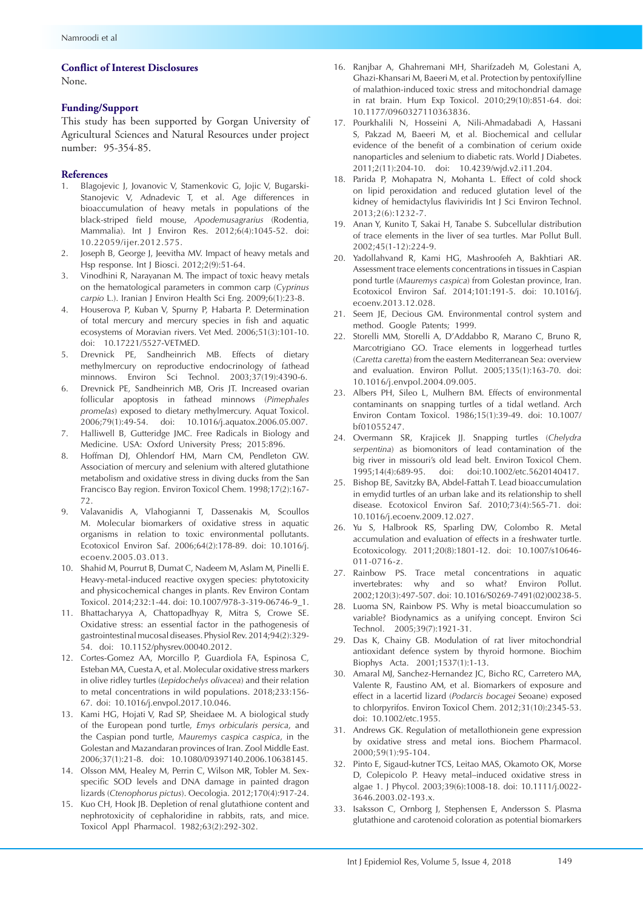### **Conflict of Interest Disclosures**

None.

#### **Funding/Support**

This study has been supported by Gorgan University of Agricultural Sciences and Natural Resources under project number: 95-354-85.

#### **References**

- 1. Blagojevic J, Jovanovic V, Stamenkovic G, Jojic V, Bugarski-Stanojevic V, Adnadevic T, et al. Age differences in bioaccumulation of heavy metals in populations of the black-striped field mouse, *Apodemusagrarius* (Rodentia, Mammalia). Int J Environ Res. 2012;6(4):1045-52. doi: 10.22059/ijer.2012.575.
- 2. Joseph B, George J, Jeevitha MV. Impact of heavy metals and Hsp response. Int J Biosci. 2012;2(9):51-64.
- 3. Vinodhini R, Narayanan M. The impact of toxic heavy metals on the hematological parameters in common carp (*Cyprinus carpio* L.). Iranian J Environ Health Sci Eng. 2009;6(1):23-8.
- 4. Houserova P, Kuban V, Spurny P, Habarta P. Determination of total mercury and mercury species in fish and aquatic ecosystems of Moravian rivers. Vet Med. 2006;51(3):101-10. doi: 10.17221/5527-VETMED.
- 5. Drevnick PE, Sandheinrich MB. Effects of dietary methylmercury on reproductive endocrinology of fathead minnows. Environ Sci Technol. 2003;37(19):4390-6.
- 6. Drevnick PE, Sandheinrich MB, Oris JT. Increased ovarian follicular apoptosis in fathead minnows (*Pimephales promelas*) exposed to dietary methylmercury. Aquat Toxicol. 2006;79(1):49-54. doi: 10.1016/j.aquatox.2006.05.007.
- 7. Halliwell B, Gutteridge JMC. Free Radicals in Biology and Medicine. USA: Oxford University Press; 2015:896.
- 8. Hoffman DJ, Ohlendorf HM, Marn CM, Pendleton GW. Association of mercury and selenium with altered glutathione metabolism and oxidative stress in diving ducks from the San Francisco Bay region. Environ Toxicol Chem. 1998;17(2):167- 72.
- 9. Valavanidis A, Vlahogianni T, Dassenakis M, Scoullos M. Molecular biomarkers of oxidative stress in aquatic organisms in relation to toxic environmental pollutants. Ecotoxicol Environ Saf. 2006;64(2):178-89. doi: 10.1016/j. ecoenv.2005.03.013.
- 10. Shahid M, Pourrut B, Dumat C, Nadeem M, Aslam M, Pinelli E. Heavy-metal-induced reactive oxygen species: phytotoxicity and physicochemical changes in plants. Rev Environ Contam Toxicol. 2014;232:1-44. doi: 10.1007/978-3-319-06746-9\_1.
- 11. Bhattacharyya A, Chattopadhyay R, Mitra S, Crowe SE. Oxidative stress: an essential factor in the pathogenesis of gastrointestinal mucosal diseases. Physiol Rev. 2014;94(2):329- 54. doi: 10.1152/physrev.00040.2012.
- 12. Cortes-Gomez AA, Morcillo P, Guardiola FA, Espinosa C, Esteban MA, Cuesta A, et al. Molecular oxidative stress markers in olive ridley turtles (*Lepidochelys olivacea*) and their relation to metal concentrations in wild populations. 2018;233:156- 67. doi: 10.1016/j.envpol.2017.10.046.
- 13. Kami HG, Hojati V, Rad SP, Sheidaee M. A biological study of the European pond turtle, *Emys orbicularis persica*, and the Caspian pond turtle, *Mauremys caspica caspica*, in the Golestan and Mazandaran provinces of Iran. Zool Middle East. 2006;37(1):21-8. doi: 10.1080/09397140.2006.10638145.
- 14. Olsson MM, Healey M, Perrin C, Wilson MR, Tobler M. Sexspecific SOD levels and DNA damage in painted dragon lizards (*Ctenophorus pictus*). Oecologia. 2012;170(4):917-24.
- 15. Kuo CH, Hook JB. Depletion of renal glutathione content and nephrotoxicity of cephaloridine in rabbits, rats, and mice. Toxicol Appl Pharmacol. 1982;63(2):292-302.
- 16. Ranjbar A, Ghahremani MH, Sharifzadeh M, Golestani A, Ghazi-Khansari M, Baeeri M, et al. Protection by pentoxifylline of malathion-induced toxic stress and mitochondrial damage in rat brain. Hum Exp Toxicol. 2010;29(10):851-64. doi: 10.1177/0960327110363836.
- 17. Pourkhalili N, Hosseini A, Nili-Ahmadabadi A, Hassani S, Pakzad M, Baeeri M, et al. Biochemical and cellular evidence of the benefit of a combination of cerium oxide nanoparticles and selenium to diabetic rats. World J Diabetes. 2011;2(11):204-10. doi: 10.4239/wjd.v2.i11.204.
- 18. Parida P, Mohapatra N, Mohanta L. Effect of cold shock on lipid peroxidation and reduced glutation level of the kidney of hemidactylus flaviviridis Int J Sci Environ Technol. 2013;2(6):1232-7.
- 19. Anan Y, Kunito T, Sakai H, Tanabe S. Subcellular distribution of trace elements in the liver of sea turtles. Mar Pollut Bull. 2002;45(1-12):224-9.
- 20. Yadollahvand R, Kami HG, Mashroofeh A, Bakhtiari AR. Assessment trace elements concentrations in tissues in Caspian pond turtle (*Mauremys caspica*) from Golestan province, Iran. Ecotoxicol Environ Saf. 2014;101:191-5. doi: 10.1016/j. ecoenv.2013.12.028.
- 21. Seem JE, Decious GM. Environmental control system and method. Google Patents; 1999.
- 22. Storelli MM, Storelli A, D'Addabbo R, Marano C, Bruno R, Marcotrigiano GO. Trace elements in loggerhead turtles (*Caretta caretta*) from the eastern Mediterranean Sea: overview and evaluation. Environ Pollut. 2005;135(1):163-70. doi: 10.1016/j.envpol.2004.09.005.
- 23. Albers PH, Sileo L, Mulhern BM. Effects of environmental contaminants on snapping turtles of a tidal wetland. Arch Environ Contam Toxicol. 1986;15(1):39-49. doi: 10.1007/ bf01055247.
- 24. Overmann SR, Krajicek JJ. Snapping turtles (*Chelydra serpentina*) as biomonitors of lead contamination of the big river in missouri's old lead belt. Environ Toxicol Chem. 1995;14(4):689-95. doi: doi:10.1002/etc.5620140417.
- 25. Bishop BE, Savitzky BA, Abdel-Fattah T. Lead bioaccumulation in emydid turtles of an urban lake and its relationship to shell disease. Ecotoxicol Environ Saf. 2010;73(4):565-71. doi: 10.1016/j.ecoenv.2009.12.027.
- 26. Yu S, Halbrook RS, Sparling DW, Colombo R. Metal accumulation and evaluation of effects in a freshwater turtle. Ecotoxicology. 2011;20(8):1801-12. doi: 10.1007/s10646- 011-0716-z.
- 27. Rainbow PS. Trace metal concentrations in aquatic invertebrates: why and so what? Environ Pollut. 2002;120(3):497-507. doi: 10.1016/S0269-7491(02)00238-5.
- 28. Luoma SN, Rainbow PS. Why is metal bioaccumulation so variable? Biodynamics as a unifying concept. Environ Sci Technol. 2005;39(7):1921-31.
- 29. Das K, Chainy GB. Modulation of rat liver mitochondrial antioxidant defence system by thyroid hormone. Biochim Biophys Acta. 2001;1537(1):1-13.
- 30. Amaral MJ, Sanchez-Hernandez JC, Bicho RC, Carretero MA, Valente R, Faustino AM, et al. Biomarkers of exposure and effect in a lacertid lizard (*Podarcis bocagei* Seoane) exposed to chlorpyrifos. Environ Toxicol Chem. 2012;31(10):2345-53. doi: 10.1002/etc.1955.
- 31. Andrews GK. Regulation of metallothionein gene expression by oxidative stress and metal ions. Biochem Pharmacol. 2000;59(1):95-104.
- 32. Pinto E, Sigaud-kutner TCS, Leitao MAS, Okamoto OK, Morse D, Colepicolo P. Heavy metal–induced oxidative stress in algae 1. J Phycol. 2003;39(6):1008-18. doi: 10.1111/j.0022- 3646.2003.02-193.x.
- 33. Isaksson C, Ornborg J, Stephensen E, Andersson S. Plasma glutathione and carotenoid coloration as potential biomarkers